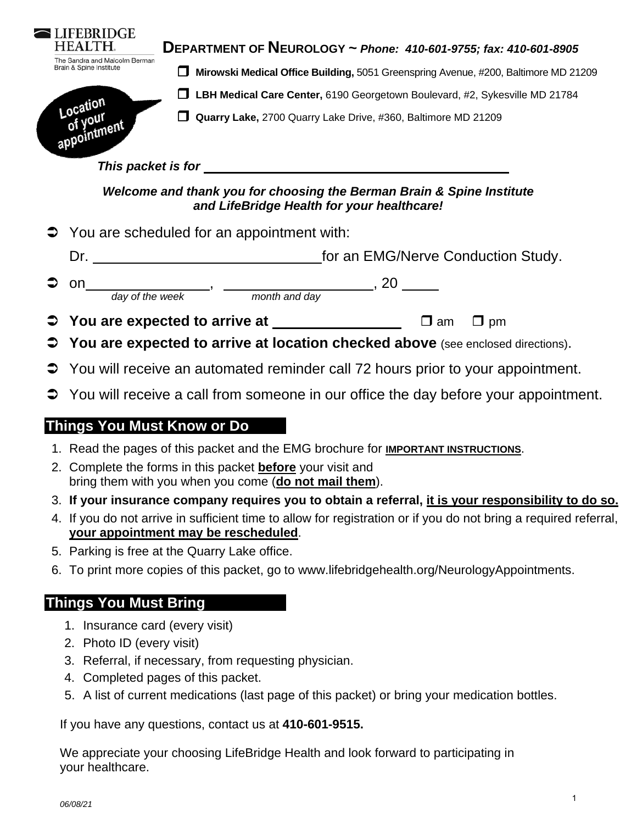|                                                                                                                     | <b>JFEBRIDGE</b><br><b>HEALTH.</b><br>The Sandra and Malcolm Berman<br>Brain & Spine Institute | DEPARTMENT OF NEUROLOGY ~ Phone: 410-601-9755; fax: 410-601-8905<br>Mirowski Medical Office Building, 5051 Greenspring Avenue, #200, Baltimore MD 21209<br>ப |  |  |  |
|---------------------------------------------------------------------------------------------------------------------|------------------------------------------------------------------------------------------------|--------------------------------------------------------------------------------------------------------------------------------------------------------------|--|--|--|
|                                                                                                                     | Location<br>of your                                                                            | LBH Medical Care Center, 6190 Georgetown Boulevard, #2, Sykesville MD 21784<br>$\sim$                                                                        |  |  |  |
|                                                                                                                     |                                                                                                | Quarry Lake, 2700 Quarry Lake Drive, #360, Baltimore MD 21209<br>l I                                                                                         |  |  |  |
|                                                                                                                     | This packet is for                                                                             |                                                                                                                                                              |  |  |  |
| Welcome and thank you for choosing the Berman Brain & Spine Institute<br>and LifeBridge Health for your healthcare! |                                                                                                |                                                                                                                                                              |  |  |  |
|                                                                                                                     |                                                                                                | $\supset$ You are scheduled for an appointment with:                                                                                                         |  |  |  |
|                                                                                                                     | Dr.                                                                                            | for an EMG/Nerve Conduction Study.                                                                                                                           |  |  |  |

 on , , 20 day of the week month and day

- **→ You are expected to arrive at D** am **D** pm
- **You are expected to arrive at location checked above** (see enclosed directions).
- **→** You will receive an automated reminder call 72 hours prior to your appointment.
- $\supset$  You will receive a call from someone in our office the day before your appointment.

# **Things You Must Know or Do**

- 1. Read the pages of this packet and the EMG brochure for **IMPORTANT INSTRUCTIONS**.
- 2. Complete the forms in this packet **before** your visit and bring them with you when you come (**do not mail them**).
- 3. **If your insurance company requires you to obtain a referral, it is your responsibility to do so.**
- 4. If you do not arrive in sufficient time to allow for registration or if you do not bring a required referral, **your appointment may be rescheduled**.
- 5. Parking is free at the Quarry Lake office.
- 6. To print more copies of this packet, go to www.lifebridgehealth.org/NeurologyAppointments.

# **Things You Must Bring**

- 1. Insurance card (every visit)
- 2. Photo ID (every visit)
- 3. Referral, if necessary, from requesting physician.
- 4. Completed pages of this packet.
- 5. A list of current medications (last page of this packet) or bring your medication bottles.

If you have any questions, contact us at **410-601-9515.**

We appreciate your choosing LifeBridge Health and look forward to participating in your healthcare.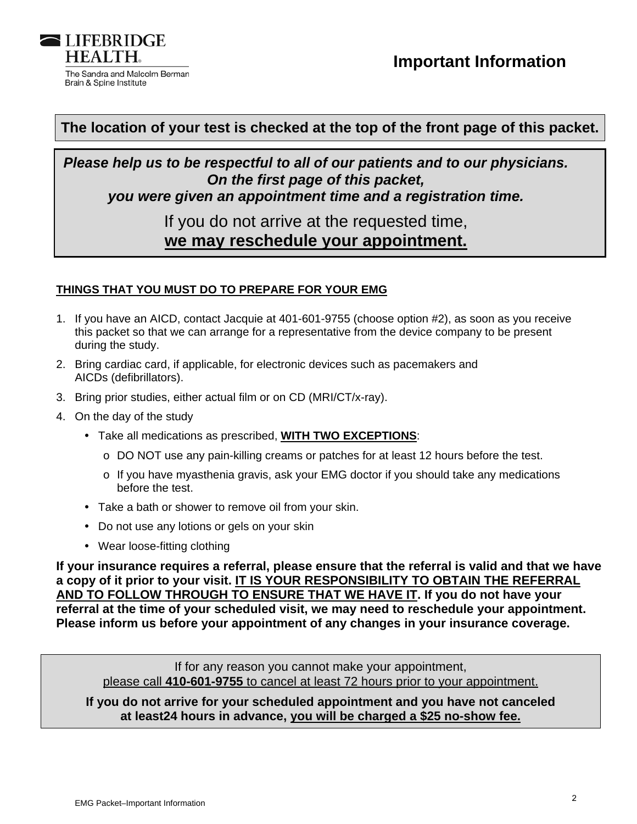

### **The location of your test is checked at the top of the front page of this packet.**

*Please help us to be respectful to all of our patients and to our physicians. On the first page of this packet, you were given an appointment time and a registration time.* 

# If you do not arrive at the requested time, **we may reschedule your appointment.**

### **THINGS THAT YOU MUST DO TO PREPARE FOR YOUR EMG**

- 1. If you have an AICD, contact Jacquie at 401-601-9755 (choose option #2), as soon as you receive this packet so that we can arrange for a representative from the device company to be present during the study.
- 2. Bring cardiac card, if applicable, for electronic devices such as pacemakers and AICDs (defibrillators).
- 3. Bring prior studies, either actual film or on CD (MRI/CT/x-ray).
- 4. On the day of the study
	- Take all medications as prescribed, **WITH TWO EXCEPTIONS**:
		- o DO NOT use any pain-killing creams or patches for at least 12 hours before the test.
		- o If you have myasthenia gravis, ask your EMG doctor if you should take any medications before the test.
	- Take a bath or shower to remove oil from your skin.
	- Do not use any lotions or gels on your skin
	- Wear loose-fitting clothing

**If your insurance requires a referral, please ensure that the referral is valid and that we have a copy of it prior to your visit. IT IS YOUR RESPONSIBILITY TO OBTAIN THE REFERRAL AND TO FOLLOW THROUGH TO ENSURE THAT WE HAVE IT. If you do not have your referral at the time of your scheduled visit, we may need to reschedule your appointment. Please inform us before your appointment of any changes in your insurance coverage.** 

If for any reason you cannot make your appointment, please call **410-601-9755** to cancel at least 72 hours prior to your appointment.

**If you do not arrive for your scheduled appointment and you have not canceled at least24 hours in advance, you will be charged a \$25 no-show fee.**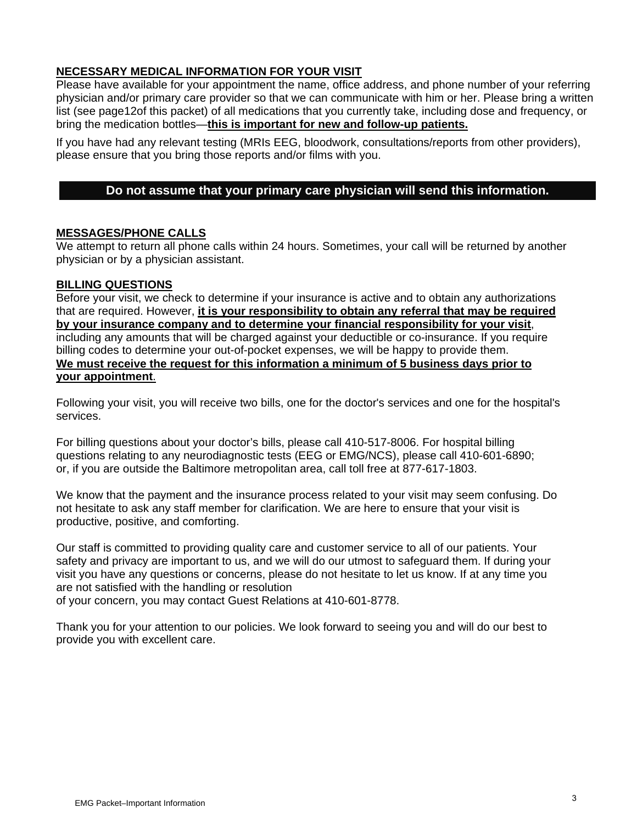### **NECESSARY MEDICAL INFORMATION FOR YOUR VISIT**

Please have available for your appointment the name, office address, and phone number of your referring physician and/or primary care provider so that we can communicate with him or her. Please bring a written list (see page12of this packet) of all medications that you currently take, including dose and frequency, or bring the medication bottles—**this is important for new and follow-up patients.** 

If you have had any relevant testing (MRIs EEG, bloodwork, consultations/reports from other providers), please ensure that you bring those reports and/or films with you.

### **Do not assume that your primary care physician will send this information.**

### **MESSAGES/PHONE CALLS**

We attempt to return all phone calls within 24 hours. Sometimes, your call will be returned by another physician or by a physician assistant.

#### **BILLING QUESTIONS**

Before your visit, we check to determine if your insurance is active and to obtain any authorizations that are required. However, **it is your responsibility to obtain any referral that may be required by your insurance company and to determine your financial responsibility for your visit**, including any amounts that will be charged against your deductible or co-insurance. If you require billing codes to determine your out-of-pocket expenses, we will be happy to provide them. **We must receive the request for this information a minimum of 5 business days prior to your appointment**.

Following your visit, you will receive two bills, one for the doctor's services and one for the hospital's services.

For billing questions about your doctor's bills, please call 410-517-8006. For hospital billing questions relating to any neurodiagnostic tests (EEG or EMG/NCS), please call 410-601-6890; or, if you are outside the Baltimore metropolitan area, call toll free at 877-617-1803.

We know that the payment and the insurance process related to your visit may seem confusing. Do not hesitate to ask any staff member for clarification. We are here to ensure that your visit is productive, positive, and comforting.

Our staff is committed to providing quality care and customer service to all of our patients. Your safety and privacy are important to us, and we will do our utmost to safeguard them. If during your visit you have any questions or concerns, please do not hesitate to let us know. If at any time you are not satisfied with the handling or resolution of your concern, you may contact Guest Relations at 410-601-8778.

Thank you for your attention to our policies. We look forward to seeing you and will do our best to provide you with excellent care.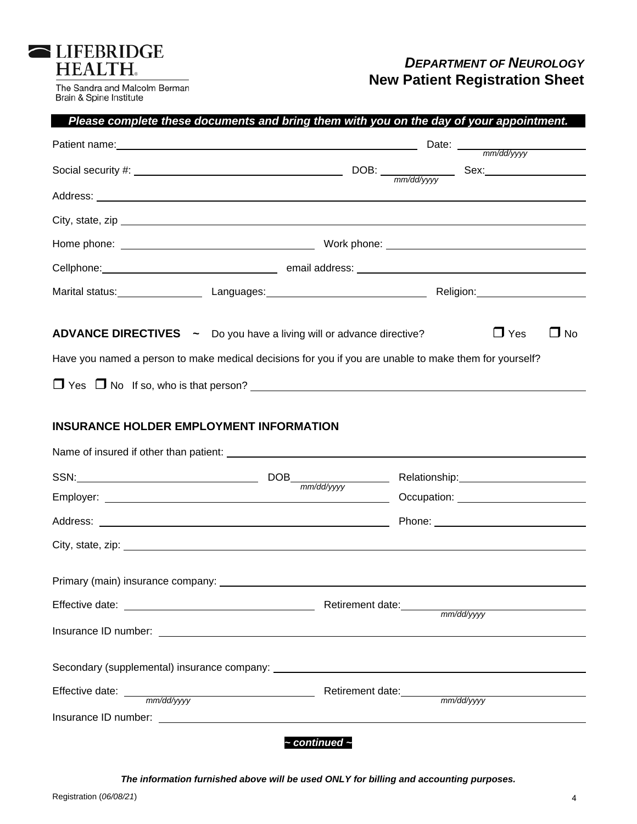| <b>ILIFEBRIDGE</b> |  |
|--------------------|--|
| <b>HEALTH.</b>     |  |

╭

The Sandra and Malcolm Berman<br>Brain & Spine Institute

## *DEPARTMENT OF NEUROLOGY* **New Patient Registration Sheet**

|                                                                                                                                                                                                                                | Please complete these documents and bring them with you on the day of your appointment. |  |                                                                                                                                                                                                                                      |           |
|--------------------------------------------------------------------------------------------------------------------------------------------------------------------------------------------------------------------------------|-----------------------------------------------------------------------------------------|--|--------------------------------------------------------------------------------------------------------------------------------------------------------------------------------------------------------------------------------------|-----------|
| Patient name: Date: Date: Date: Date: Date: Date: Date: Date: Date: Date: Date: Date: Date: Date: Date: Date: Date: Date: Date: Date: Date: Date: Date: Date: Date: Date: Date: Date: Date: Date: Date: Date: Date: Date: Date |                                                                                         |  |                                                                                                                                                                                                                                      |           |
|                                                                                                                                                                                                                                |                                                                                         |  |                                                                                                                                                                                                                                      |           |
|                                                                                                                                                                                                                                |                                                                                         |  |                                                                                                                                                                                                                                      |           |
| City, state, zip example and the state of the state of the state of the state of the state of the state of the state of the state of the state of the state of the state of the state of the state of the state of the state o |                                                                                         |  |                                                                                                                                                                                                                                      |           |
|                                                                                                                                                                                                                                |                                                                                         |  |                                                                                                                                                                                                                                      |           |
| Cellphone: Cellphone: and Cellphone: Cellphone: Cellphone: Cellphone: Cellphone: Cellphone: Cellphone: Cellphone: Cellphone: Cellphone: Cellphone: Cellphone: Cellphone: Cellphone: Cellphone: Cellphone: Cellphone: Cellphone |                                                                                         |  |                                                                                                                                                                                                                                      |           |
| Marital status: Languages: Languages: Religion: Religion: Religion:                                                                                                                                                            |                                                                                         |  |                                                                                                                                                                                                                                      |           |
| <b>ADVANCE DIRECTIVES</b> ~ Do you have a living will or advance directive?<br>Have you named a person to make medical decisions for you if you are unable to make them for yourself?                                          |                                                                                         |  | $\Box$ Yes                                                                                                                                                                                                                           | $\Box$ No |
| <b>INSURANCE HOLDER EMPLOYMENT INFORMATION</b>                                                                                                                                                                                 |                                                                                         |  |                                                                                                                                                                                                                                      |           |
| $SSN:$ DOB $\frac{1}{\text{mm/dd/yyy}}$                                                                                                                                                                                        |                                                                                         |  |                                                                                                                                                                                                                                      |           |
|                                                                                                                                                                                                                                |                                                                                         |  | Occupation: <u>contract and contract and contract and contract and contract and contract and contract and contract and contract and contract and contract and contract and contract and contract and contract and contract and c</u> |           |
|                                                                                                                                                                                                                                |                                                                                         |  |                                                                                                                                                                                                                                      |           |
|                                                                                                                                                                                                                                |                                                                                         |  |                                                                                                                                                                                                                                      |           |
| Primary (main) insurance company:                                                                                                                                                                                              |                                                                                         |  |                                                                                                                                                                                                                                      |           |
|                                                                                                                                                                                                                                |                                                                                         |  |                                                                                                                                                                                                                                      |           |
|                                                                                                                                                                                                                                |                                                                                         |  |                                                                                                                                                                                                                                      |           |
|                                                                                                                                                                                                                                |                                                                                         |  |                                                                                                                                                                                                                                      |           |
| Effective date: <u>mm/dd/yvy</u> Retirement date: mm/dd/yyy                                                                                                                                                                    |                                                                                         |  |                                                                                                                                                                                                                                      |           |
|                                                                                                                                                                                                                                |                                                                                         |  |                                                                                                                                                                                                                                      |           |
|                                                                                                                                                                                                                                | $\sim$ continued $\sim$                                                                 |  |                                                                                                                                                                                                                                      |           |

*The information furnished above will be used ONLY for billing and accounting purposes.*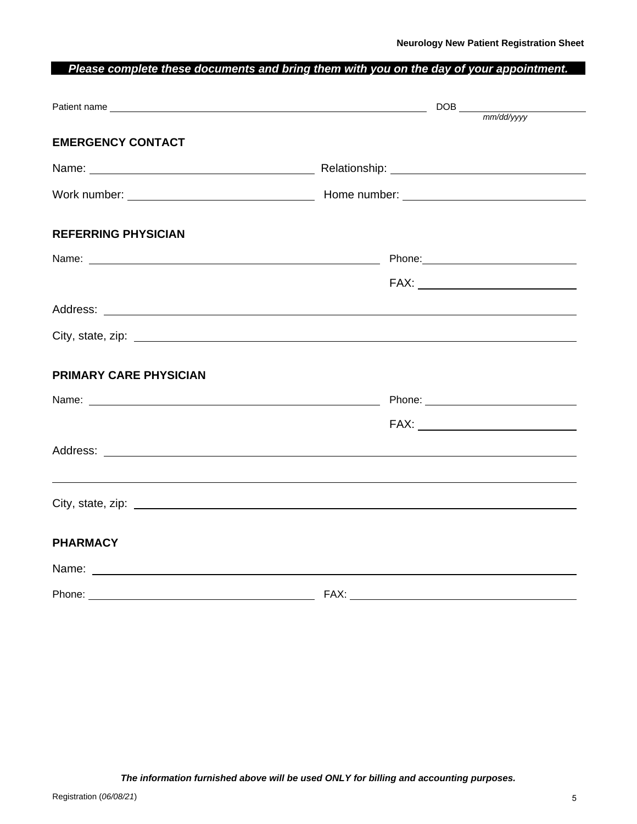### *Please complete these documents and bring them with you on the day of your appointment.*

| <b>EMERGENCY CONTACT</b>                                                                                                                                                                                                       |                                                                                                               |
|--------------------------------------------------------------------------------------------------------------------------------------------------------------------------------------------------------------------------------|---------------------------------------------------------------------------------------------------------------|
|                                                                                                                                                                                                                                |                                                                                                               |
|                                                                                                                                                                                                                                |                                                                                                               |
|                                                                                                                                                                                                                                |                                                                                                               |
| <b>REFERRING PHYSICIAN</b>                                                                                                                                                                                                     |                                                                                                               |
|                                                                                                                                                                                                                                | Phone: 2008 2010 2010 2010 2010 2010 2011 2020 2021 2021 2022 2023 2024 2022 2023 2024 2022 2023 2024 2025 20 |
|                                                                                                                                                                                                                                |                                                                                                               |
|                                                                                                                                                                                                                                |                                                                                                               |
|                                                                                                                                                                                                                                |                                                                                                               |
| PRIMARY CARE PHYSICIAN                                                                                                                                                                                                         |                                                                                                               |
|                                                                                                                                                                                                                                |                                                                                                               |
|                                                                                                                                                                                                                                |                                                                                                               |
|                                                                                                                                                                                                                                |                                                                                                               |
|                                                                                                                                                                                                                                |                                                                                                               |
| City, state, zip: example and contract the contract of the contract of the contract of the contract of the contract of the contract of the contract of the contract of the contract of the contract of the contract of the con |                                                                                                               |
| <b>PHARMACY</b>                                                                                                                                                                                                                |                                                                                                               |
| Name: Name: Name: Name: Name: Name: Name: Name: Name: Name: Name: Name: Name: Name: Name: Name: Name: Name: Name: Name: Name: Name: Name: Name: Name: Name: Name: Name: Name: Name: Name: Name: Name: Name: Name: Name: Name:  |                                                                                                               |
|                                                                                                                                                                                                                                |                                                                                                               |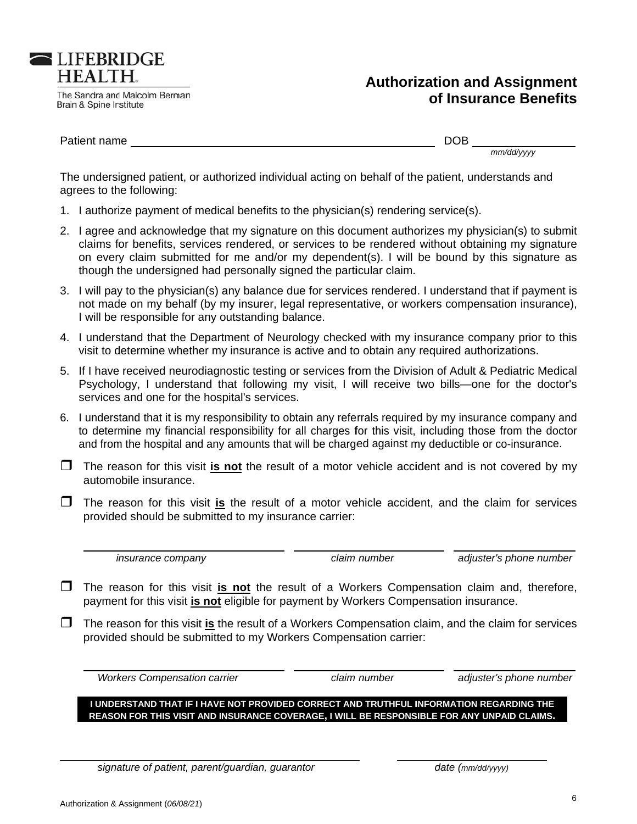

 $\overline{\phantom{a}}$ 

## **Authorization and Assignment of Insu rance Be enefits**

Patient nam me

Brain & Spine Institute

**ELIFEBRIDGE HEALTH.** 

The Sandra and Malcolm Berman

DOB

*mm/dd/yyyy y*

The undersigned patient, or authorized individual acting on behalf of the patient, understands and agrees to the following:

- 1. I authorize payment of medical benefits to the physician(s) rendering service(s).
- 2. I agree and acknowledge that my signature on this document authorizes my physician(s) to submit claims for benefits, services rendered, or services to be rendered without obtaining my signature on every claim submitted for me and/or my dependent(s). I will be bound by this signature as though the undersigned had personally signed the particular claim.
- 3. I will pay to the physician(s) any balance due for services rendered. I understand that if payment is not made on my behalf (by my insurer, legal representative, or workers compensation insurance), I will be responsible for any outstanding balance.
- 4. I understand that the Department of Neurology checked with my insurance company prior to this visit to determine whether my insurance is active and to obtain any required authorizations.
- 5. If I have received neurodiagnostic testing or services from the Division of Adult & Pediatric Medical Psychology, I understand that following my visit, I will receive two bills—one for the doctor's services and one for the hospital's services.
- services and one for the hospital's services.<br>6. I understand that it is my responsibility to obtain any referrals required by my insurance company and to determine my financial responsibility for all charges for this visit, including those from the doctor and from the hospital and any amounts that will be charged against my deductible or co-insurance.
- The reason for this visit *is not* the result of a motor vehicle accident and is not covered by my automobile insurance.
- **T** The reason for this visit is the result of a motor vehicle accident, and the claim for services provided should be submitted to my insurance carrier:

 *in nsurance com mpany*

*claim number*

adjuster's phone number

- **T** The reason for this visit *is not* the result of a Workers Compensation claim and, therefore, payment for this visit *is not* eligible for payment by Workers Compensation insurance.
- The reason for this visit *is* the result of a Workers Compensation claim, and the claim for services provided should be submitted to my Workers Compensation carrier:

*<i>Workers Compensation carrier* 

 $\overline{a}$ 

*claim number*

adjuster's phone number

**I UNDERSTAND THAT IF I HAVE NOT PROVIDED CORRECT AND TRUTHFUL INFORMATION REGARDING THE REASON FOR THIS VISIT AND INSURANCE COVERAGE, I WILL BE RESPONSIBLE FOR ANY UNPAID CLAIMS.** 

*signature of patient, parent/guardian, guarantor* 

 $\overline{a}$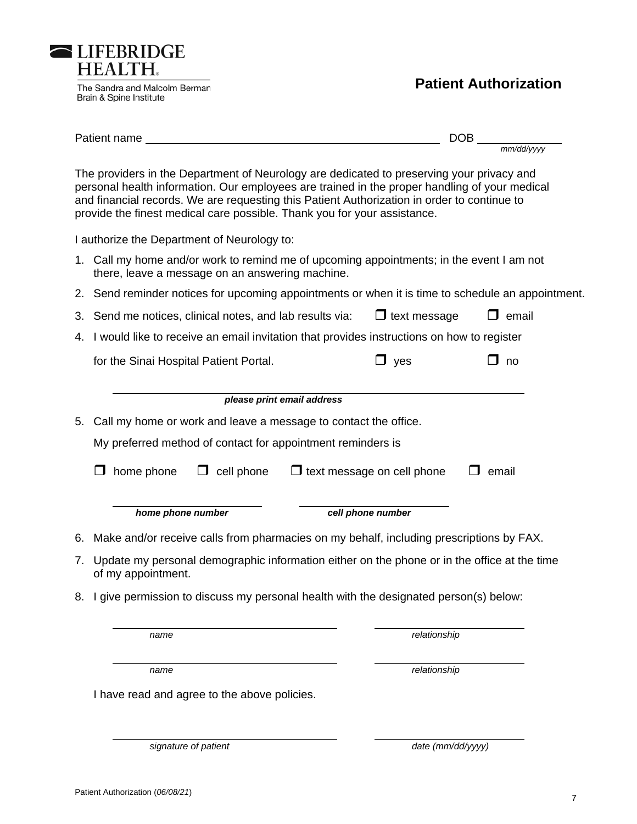Patient name DOB *mm/dd/yyyy* 

**Patient Authorization** 

The providers in the Department of Neurology are dedicated to preserving your privacy and personal health information. Our employees are trained in the proper handling of your medical and financial records. We are requesting this Patient Authorization in order to continue to provide the finest medical care possible. Thank you for your assistance.

I authorize the Department of Neurology to:

LIFEBRIDGE **HEALTH.** 

Brain & Spine Institute

The Sandra and Malcolm Berman

- 1. Call my home and/or work to remind me of upcoming appointments; in the event I am not there, leave a message on an answering machine.
- 2. Send reminder notices for upcoming appointments or when it is time to schedule an appointment.
- 3. Send me notices, clinical notes, and lab results via:  $\Box$  text message  $\Box$  email
- 4. I would like to receive an email invitation that provides instructions on how to register

for the Sinai Hospital Patient Portal.  $\Box$  yes  $\Box$  no

|    | please print email address                                                                                        |  |  |  |  |  |  |
|----|-------------------------------------------------------------------------------------------------------------------|--|--|--|--|--|--|
| 5. | Call my home or work and leave a message to contact the office.                                                   |  |  |  |  |  |  |
|    | My preferred method of contact for appointment reminders is                                                       |  |  |  |  |  |  |
|    | home phone<br>$\Box$ text message on cell phone<br>cell phone<br>email                                            |  |  |  |  |  |  |
|    | home phone number<br>cell phone number                                                                            |  |  |  |  |  |  |
|    | 6. Make and/or receive calls from pharmacies on my behalf, including prescriptions by FAX.                        |  |  |  |  |  |  |
| 7. | Update my personal demographic information either on the phone or in the office at the time<br>of my appointment. |  |  |  |  |  |  |

8. I give permission to discuss my personal health with the designated person(s) below:

*name relationship* 

*name relationship* 

I have read and agree to the above policies.

*signature of patient* date (mm/dd/yyyy)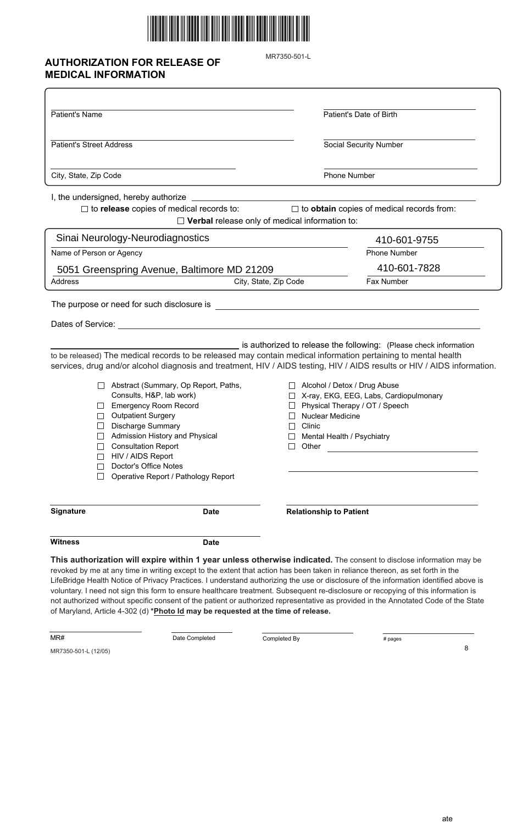

## **AUTHORIZATION FOR RELEASE OF MEDICAL INFORMATION**

MR7350-501-L

| Patient's Name                                                                                                                                                                                                                                                                                                                                                                                                                                        | Patient's Date of Birth                                                                                                                                                                                                                                                                                                                                                                         |
|-------------------------------------------------------------------------------------------------------------------------------------------------------------------------------------------------------------------------------------------------------------------------------------------------------------------------------------------------------------------------------------------------------------------------------------------------------|-------------------------------------------------------------------------------------------------------------------------------------------------------------------------------------------------------------------------------------------------------------------------------------------------------------------------------------------------------------------------------------------------|
| <b>Patient's Street Address</b>                                                                                                                                                                                                                                                                                                                                                                                                                       | <b>Social Security Number</b>                                                                                                                                                                                                                                                                                                                                                                   |
| City, State, Zip Code                                                                                                                                                                                                                                                                                                                                                                                                                                 | Phone Number                                                                                                                                                                                                                                                                                                                                                                                    |
| I, the undersigned, hereby authorize _                                                                                                                                                                                                                                                                                                                                                                                                                |                                                                                                                                                                                                                                                                                                                                                                                                 |
| $\Box$ to release copies of medical records to:                                                                                                                                                                                                                                                                                                                                                                                                       | $\Box$ to obtain copies of medical records from:<br>$\Box$ Verbal release only of medical information to:                                                                                                                                                                                                                                                                                       |
| Sinai Neurology-Neurodiagnostics                                                                                                                                                                                                                                                                                                                                                                                                                      | 410-601-9755                                                                                                                                                                                                                                                                                                                                                                                    |
| Name of Person or Agency                                                                                                                                                                                                                                                                                                                                                                                                                              | <b>Phone Number</b>                                                                                                                                                                                                                                                                                                                                                                             |
| 5051 Greenspring Avenue, Baltimore MD 21209                                                                                                                                                                                                                                                                                                                                                                                                           | 410-601-7828                                                                                                                                                                                                                                                                                                                                                                                    |
| <b>Address</b>                                                                                                                                                                                                                                                                                                                                                                                                                                        | Fax Number<br>City, State, Zip Code                                                                                                                                                                                                                                                                                                                                                             |
| Dates of Service:<br>to be released) The medical records to be released may contain medical information pertaining to mental health<br>Abstract (Summary, Op Report, Paths,<br>Consults, H&P, lab work)<br><b>Emergency Room Record</b><br><b>Outpatient Surgery</b><br><b>Discharge Summary</b><br>Admission History and Physical<br><b>Consultation Report</b><br>HIV / AIDS Report<br>Doctor's Office Notes<br>Operative Report / Pathology Report | is authorized to release the following: (Please check information<br>services, drug and/or alcohol diagnosis and treatment, HIV / AIDS testing, HIV / AIDS results or HIV / AIDS information.<br>Alcohol / Detox / Drug Abuse<br>X-ray, EKG, EEG, Labs, Cardiopulmonary<br>Physical Therapy / OT / Speech<br>Nuclear Medicine<br>Clinic<br>Mental Health / Psychiatry<br>Other                  |
| <b>Signature</b><br><b>Date</b>                                                                                                                                                                                                                                                                                                                                                                                                                       | <b>Relationship to Patient</b>                                                                                                                                                                                                                                                                                                                                                                  |
| <b>Witness</b><br><b>Date</b>                                                                                                                                                                                                                                                                                                                                                                                                                         |                                                                                                                                                                                                                                                                                                                                                                                                 |
| revoked by me at any time in writing except to the extent that action has been taken in reliance thereon, as set forth in the                                                                                                                                                                                                                                                                                                                         | This authorization will expire within 1 year unless otherwise indicated. The consent to disclose information may be<br>LifeBridge Health Notice of Privacy Practices. I understand authorizing the use or disclosure of the information identified above is<br>voluntary I need not sign this form to ensure healthcare treatment. Subsequent re-disclosure or reconving of this information is |

voluntary. I need not sign this form to ensure healthcare treatment. Subsequent re-disclosure or recopying of this information is not authorized without specific consent of the patient or authorized representative as provided in the Annotated Code of the State of Maryland, Article 4-302 (d) **\*Photo Id may be requested at the time of release.**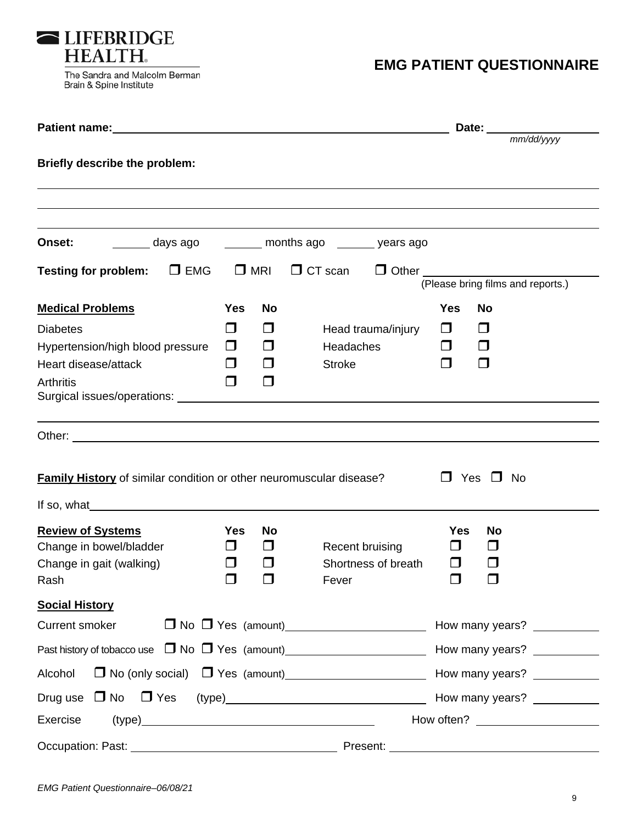

Brain & Spine Institute

# **EMG PATIENT QUESTIONNAIRE**

| Patient name: 1000 million and the contract of the contract of the contract of the contract of the contract of                                                                                                                                                                                                                              |            |               |                                                                                                                | Date:                             |                             |
|---------------------------------------------------------------------------------------------------------------------------------------------------------------------------------------------------------------------------------------------------------------------------------------------------------------------------------------------|------------|---------------|----------------------------------------------------------------------------------------------------------------|-----------------------------------|-----------------------------|
| Briefly describe the problem:                                                                                                                                                                                                                                                                                                               |            |               |                                                                                                                |                                   | mm/dd/yyyy                  |
|                                                                                                                                                                                                                                                                                                                                             |            |               |                                                                                                                |                                   |                             |
| Onset:                                                                                                                                                                                                                                                                                                                                      |            |               | days ago ________ months ago _______ years ago                                                                 |                                   |                             |
| Testing for problem: $\Box$ EMG                                                                                                                                                                                                                                                                                                             |            | $\square$ MRI | $\Box$ CT scan                                                                                                 | (Please bring films and reports.) |                             |
| <b>Medical Problems</b>                                                                                                                                                                                                                                                                                                                     | <b>Yes</b> | No            |                                                                                                                | <b>Yes</b><br><b>No</b>           |                             |
| <b>Diabetes</b>                                                                                                                                                                                                                                                                                                                             | $\Box$     | $\Box$        | Head trauma/injury                                                                                             | $\Box$<br>$\Box$                  |                             |
| Hypertension/high blood pressure                                                                                                                                                                                                                                                                                                            | $\Box$     | $\Box$        | Headaches                                                                                                      | $\Box$<br>$\Box$                  |                             |
| Heart disease/attack                                                                                                                                                                                                                                                                                                                        | $\Box$     | $\Box$        | <b>Stroke</b>                                                                                                  | ◘<br>$\Box$                       |                             |
| <b>Arthritis</b>                                                                                                                                                                                                                                                                                                                            | $\Box$     | $\Box$        |                                                                                                                |                                   |                             |
|                                                                                                                                                                                                                                                                                                                                             |            |               |                                                                                                                |                                   |                             |
| If so, what $\qquad \qquad$ $\qquad \qquad$ $\qquad$ $\qquad$ $\qquad$ $\qquad$ $\qquad$ $\qquad$ $\qquad$ $\qquad$ $\qquad$ $\qquad$ $\qquad$ $\qquad$ $\qquad$ $\qquad$ $\qquad$ $\qquad$ $\qquad$ $\qquad$ $\qquad$ $\qquad$ $\qquad$ $\qquad$ $\qquad$ $\qquad$ $\qquad$ $\qquad$ $\qquad$ $\qquad$ $\qquad$ $\qquad$ $\qquad$ $\qquad$ |            |               | <b>Family History</b> of similar condition or other neuromuscular disease?                                     | $\Box$<br>Yes                     | $\square$ No                |
| <b>Review of Systems</b>                                                                                                                                                                                                                                                                                                                    | <b>Yes</b> | <b>No</b>     |                                                                                                                | <b>Yes</b><br><b>No</b>           |                             |
| Change in bowel/bladder                                                                                                                                                                                                                                                                                                                     | $\Box$     | $\Box$        | Recent bruising                                                                                                | $\Box$<br>l 1                     |                             |
| Change in gait (walking)                                                                                                                                                                                                                                                                                                                    | □          | $\Box$        | Shortness of breath                                                                                            | $\Box$                            |                             |
| Rash <b>Rash</b> and the contract of the contract of the contract of the contract of the contract of the contract of the contract of the contract of the contract of the contract of the contract of the contract of the contract o                                                                                                         | $\Box$     |               | Fever the control of the control of the control of the control of the control of the control of the control of | $\Box$                            |                             |
| <b>Social History</b>                                                                                                                                                                                                                                                                                                                       |            |               |                                                                                                                |                                   |                             |
| Current smoker                                                                                                                                                                                                                                                                                                                              |            |               |                                                                                                                |                                   |                             |
|                                                                                                                                                                                                                                                                                                                                             |            |               |                                                                                                                |                                   |                             |
| Alcohol                                                                                                                                                                                                                                                                                                                                     |            |               |                                                                                                                |                                   |                             |
|                                                                                                                                                                                                                                                                                                                                             |            |               |                                                                                                                |                                   | How many years? ___________ |
| Exercise                                                                                                                                                                                                                                                                                                                                    |            |               | (type)                                                                                                         |                                   |                             |
| Occupation: Past:                                                                                                                                                                                                                                                                                                                           |            |               | Present:                                                                                                       |                                   |                             |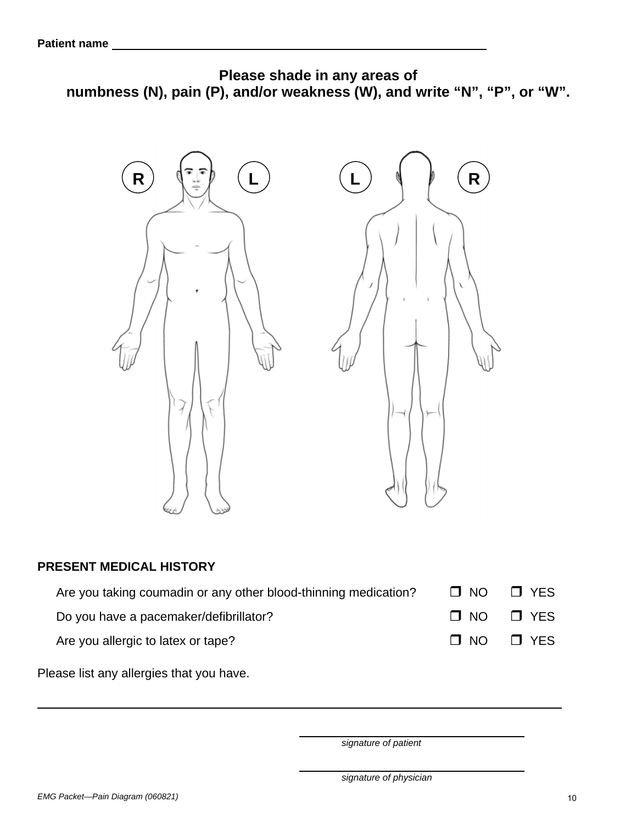

### **PRESENT MEDICAL HISTORY**

| Are you taking coumadin or any other blood-thinning medication? | $\Box$ NO $\Box$ YES |
|-----------------------------------------------------------------|----------------------|
| Do you have a pacemaker/defibrillator?                          | $\Box$ NO $\Box$ YES |
| Are you allergic to latex or tape?                              | $\Box$ NO $\Box$ YES |

Please list any allergies that you have.

*signature of patient* 

 $\overline{a}$